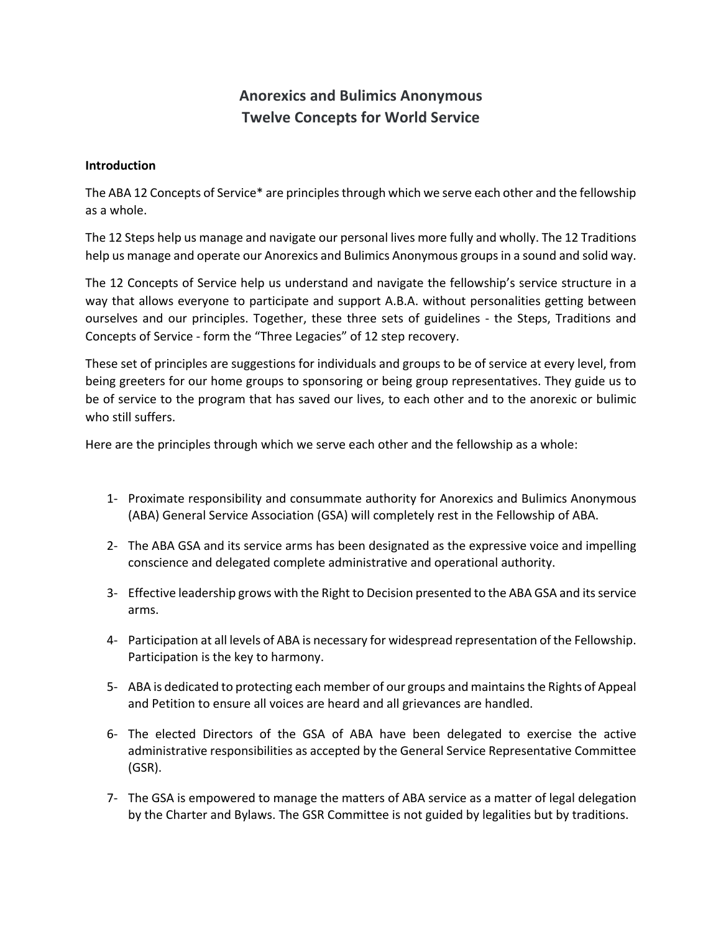## **Anorexics and Bulimics Anonymous Twelve Concepts for World Service**

## **Introduction**

The ABA 12 Concepts of Service\* are principles through which we serve each other and the fellowship as a whole.

The 12 Steps help us manage and navigate our personal lives more fully and wholly. The 12 Traditions help us manage and operate our Anorexics and Bulimics Anonymous groups in a sound and solid way.

The 12 Concepts of Service help us understand and navigate the fellowship's service structure in a way that allows everyone to participate and support A.B.A. without personalities getting between ourselves and our principles. Together, these three sets of guidelines - the Steps, Traditions and Concepts of Service - form the "Three Legacies" of 12 step recovery.

These set of principles are suggestions for individuals and groups to be of service at every level, from being greeters for our home groups to sponsoring or being group representatives. They guide us to be of service to the program that has saved our lives, to each other and to the anorexic or bulimic who still suffers.

Here are the principles through which we serve each other and the fellowship as a whole:

- 1- Proximate responsibility and consummate authority for Anorexics and Bulimics Anonymous (ABA) General Service Association (GSA) will completely rest in the Fellowship of ABA.
- 2- The ABA GSA and its service arms has been designated as the expressive voice and impelling conscience and delegated complete administrative and operational authority.
- 3- Effective leadership grows with the Right to Decision presented to the ABA GSA and its service arms.
- 4- Participation at all levels of ABA is necessary for widespread representation of the Fellowship. Participation is the key to harmony.
- 5- ABA is dedicated to protecting each member of our groups and maintains the Rights of Appeal and Petition to ensure all voices are heard and all grievances are handled.
- 6- The elected Directors of the GSA of ABA have been delegated to exercise the active administrative responsibilities as accepted by the General Service Representative Committee (GSR).
- 7- The GSA is empowered to manage the matters of ABA service as a matter of legal delegation by the Charter and Bylaws. The GSR Committee is not guided by legalities but by traditions.